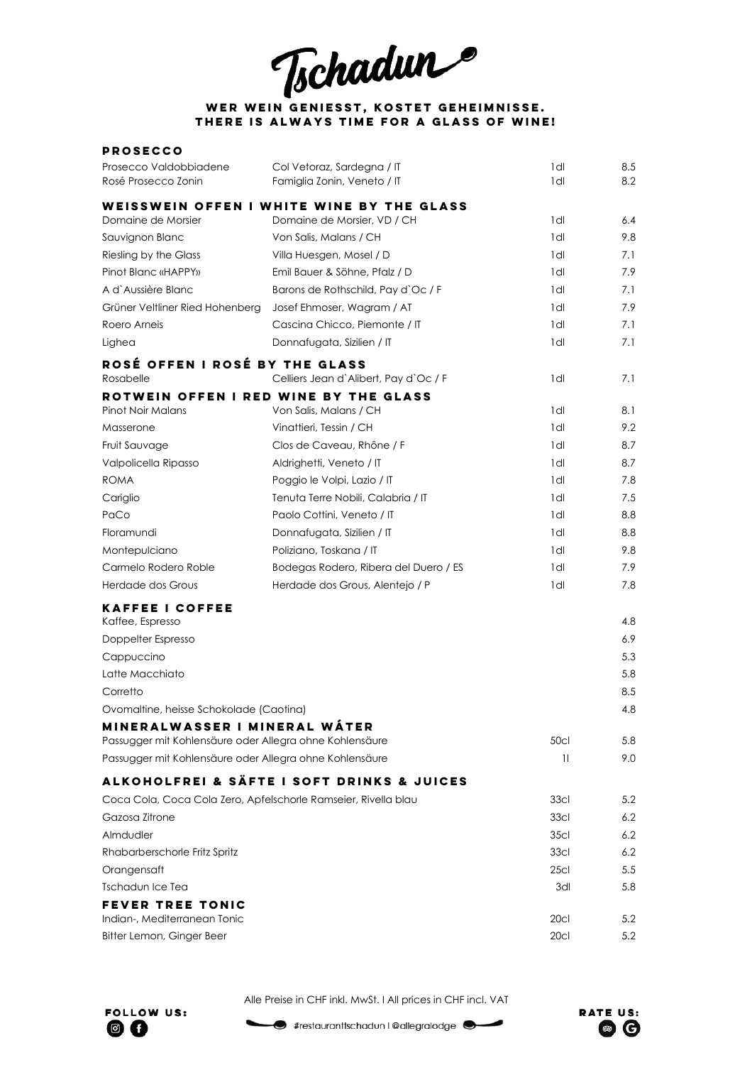Tschadun

## **Wer Wein geniesst, kostet Geheimnisse. There is always time for a glass of Wine!**

| <b>PROSECCO</b>                                                |                                            |                  |     |
|----------------------------------------------------------------|--------------------------------------------|------------------|-----|
| Prosecco Valdobbiadene                                         | Col Vetoraz, Sardegna / IT                 | 1dl              | 8.5 |
| Rosé Prosecco Zonin                                            | Famiglia Zonin, Veneto / IT                | 1dl              | 8.2 |
|                                                                | WEISSWEIN OFFEN I WHITE WINE BY THE GLASS  |                  |     |
| Domaine de Morsier                                             | Domaine de Morsier, VD / CH                | 1dl              | 6.4 |
| Sauvignon Blanc                                                | Von Salis, Malans / CH                     | 1dl              | 9.8 |
| Riesling by the Glass                                          | Villa Huesgen, Mosel / D                   | 1dl              | 7.1 |
| Pinot Blanc «HAPPY»                                            | Emil Bauer & Söhne, Pfalz / D              | 1dl              | 7.9 |
| A d'Aussière Blanc                                             | Barons de Rothschild, Pay d'Oc / F         | 1dl              | 7.1 |
| Grüner Veltliner Ried Hohenberg                                | Josef Ehmoser, Wagram / AT                 | 1 dl             | 7.9 |
| Roero Arneis                                                   | Cascina Chicco, Piemonte / IT              | 1dl              | 7.1 |
| Lighea                                                         | Donnafugata, Sizilien / IT                 | 1dl              | 7.1 |
| ROSÉ OFFEN I ROSÉ BY THE GLASS                                 |                                            |                  |     |
| Rosabelle                                                      | Celliers Jean d'Alibert, Pay d'Oc / F      | 1dl              | 7.1 |
| ROTWEIN OFFEN I RED WINE BY THE GLASS                          |                                            |                  |     |
| Pinot Noir Malans                                              | Von Salis, Malans / CH                     | 1dl              | 8.1 |
| Masserone                                                      | Vinattieri, Tessin / CH                    | 1dl              | 9.2 |
| Fruit Sauvage                                                  | Clos de Caveau, Rhône / F                  | 1dl              | 8.7 |
| Valpolicella Ripasso                                           | Aldrighetti, Veneto / IT                   | 1dl              | 8.7 |
| <b>ROMA</b>                                                    | Poggio le Volpi, Lazio / IT                | 1dl              | 7.8 |
| Cariglio                                                       | Tenuta Terre Nobili, Calabria / IT         | 1dl              | 7.5 |
| PaCo                                                           | Paolo Cottini, Veneto / IT                 | 1dl              | 8.8 |
| Floramundi                                                     | Donnafugata, Sizilien / IT                 | 1 dl             | 8.8 |
| Montepulciano                                                  | Poliziano, Toskana / IT                    | 1 dl             | 9.8 |
| Carmelo Rodero Roble                                           | Bodegas Rodero, Ribera del Duero / ES      | 1dl              | 7.9 |
| Herdade dos Grous                                              | Herdade dos Grous, Alentejo / P            | 1dl              | 7.8 |
| <b>KAFFEE I COFFEE</b><br>Kaffee, Espresso                     |                                            |                  | 4.8 |
| Doppelter Espresso                                             |                                            |                  | 6.9 |
| Cappuccino                                                     |                                            |                  | 5.3 |
| Latte Macchiato                                                |                                            |                  | 5.8 |
| Corretto                                                       |                                            |                  | 8.5 |
| Ovomaltine, heisse Schokolade (Caotina)                        |                                            |                  | 4.8 |
| MINERALWASSER I MINERAL WÁTER                                  |                                            |                  |     |
| Passugger mit Kohlensäure oder Allegra ohne Kohlensäure        |                                            | 50cl             | 5.8 |
| Passugger mit Kohlensäure oder Allegra ohne Kohlensäure        |                                            | $\mathbb{1}$     | 9.0 |
|                                                                | ALKOHOLFREI & SÄFTE I SOFT DRINKS & JUICES |                  |     |
| Coca Cola, Coca Cola Zero, Apfelschorle Ramseier, Rivella blau |                                            | 33 <sub>cl</sub> | 5.2 |
| Gazosa Zitrone                                                 |                                            | 33 <sub>cl</sub> | 6.2 |
| Almdudler                                                      |                                            | 35 <sub>cl</sub> | 6.2 |
| Rhabarberschorle Fritz Spritz                                  |                                            | 33 <sub>cl</sub> | 6.2 |
| Orangensaft                                                    |                                            | 25 <sub>cl</sub> | 5.5 |
| Tschadun Ice Tea                                               |                                            | 3dl              | 5.8 |
| <b>FEVER TREE TONIC</b>                                        |                                            |                  |     |
| Indian-, Mediterranean Tonic                                   |                                            | 20cl             | 5.2 |
| Bitter Lemon, Ginger Beer                                      |                                            | 20cl             | 5.2 |